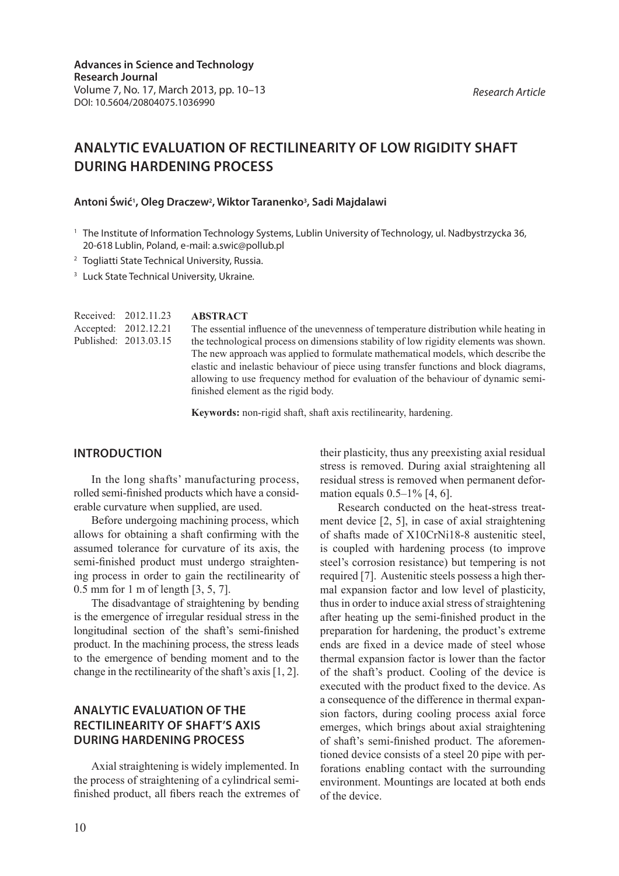#### *Research Article*

# **ANALYTIC EVALUATION OF RECTILINEARITY OF LOW RIGIDITY SHAFT DURING HARDENING PROCESS**

### **Antoni Świć1 , Oleg Draczew2 , Wiktor Taranenko3 , Sadi Majdalawi**

- <sup>1</sup> The Institute of Information Technology Systems, Lublin University of Technology, ul. Nadbystrzycka 36, 20-618 Lublin, Poland, e-mail: a.swic@pollub.pl
- <sup>2</sup> Togliatti State Technical University, Russia.
- <sup>3</sup> Luck State Technical University, Ukraine.

|                      | Received: 2012.11.23  |
|----------------------|-----------------------|
| Accepted: 2012.12.21 |                       |
|                      | Published: 2013.03.15 |
|                      |                       |

#### **ABSTRACT**

The essential influence of the unevenness of temperature distribution while heating in the technological process on dimensions stability of low rigidity elements was shown. The new approach was applied to formulate mathematical models, which describe the elastic and inelastic behaviour of piece using transfer functions and block diagrams, allowing to use frequency method for evaluation of the behaviour of dynamic semifinished element as the rigid body.

**Keywords:** non-rigid shaft, shaft axis rectilinearity, hardening.

### **Introduction**

In the long shafts' manufacturing process, rolled semi-finished products which have a considerable curvature when supplied, are used.

Before undergoing machining process, which allows for obtaining a shaft confirming with the assumed tolerance for curvature of its axis, the semi-finished product must undergo straightening process in order to gain the rectilinearity of 0.5 mm for 1 m of length [3, 5, 7].

The disadvantage of straightening by bending is the emergence of irregular residual stress in the longitudinal section of the shaft's semi-finished product. In the machining process, the stress leads to the emergence of bending moment and to the change in the rectilinearity of the shaft's axis [1, 2].

# **Analytic evaluation of the rectilinearity of shaft's axis during hardening process**

Axial straightening is widely implemented. In the process of straightening of a cylindrical semifinished product, all fibers reach the extremes of their plasticity, thus any preexisting axial residual stress is removed. During axial straightening all residual stress is removed when permanent deformation equals  $0.5-1\%$  [4, 6].

Research conducted on the heat-stress treatment device [2, 5], in case of axial straightening of shafts made of X10CrNi18-8 austenitic steel, is coupled with hardening process (to improve steel's corrosion resistance) but tempering is not required [7]. Austenitic steels possess a high thermal expansion factor and low level of plasticity, thus in order to induce axial stress of straightening after heating up the semi-finished product in the preparation for hardening, the product's extreme ends are fixed in a device made of steel whose thermal expansion factor is lower than the factor of the shaft's product. Cooling of the device is executed with the product fixed to the device. As a consequence of the difference in thermal expansion factors, during cooling process axial force emerges, which brings about axial straightening of shaft's semi-finished product. The aforementioned device consists of a steel 20 pipe with perforations enabling contact with the surrounding environment. Mountings are located at both ends of the device.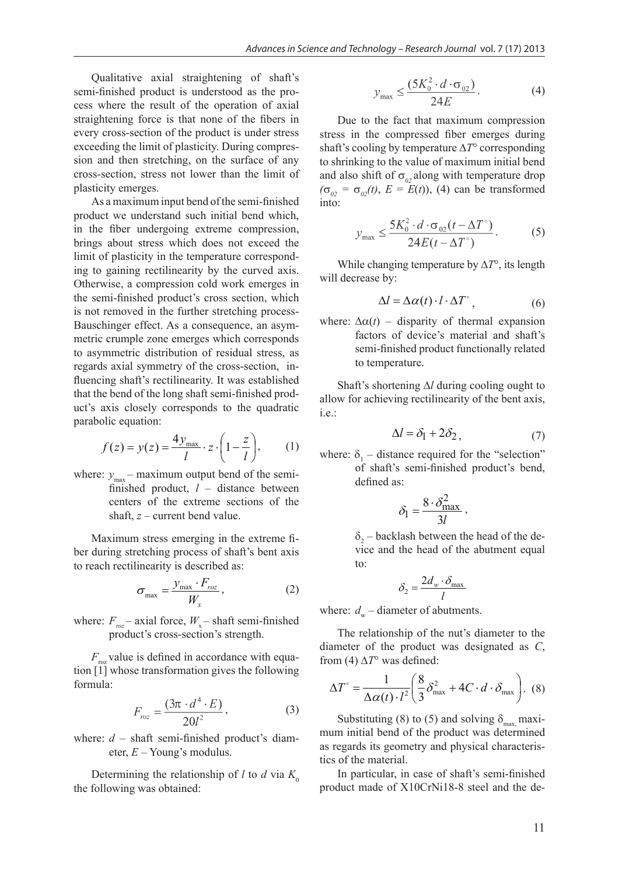Qualitative axial straightening of shaft's semi-finished product is understood as the process where the result of the operation of axial straightening force is that none of the fibers in every cross-section of the product is under stress exceeding the limit of plasticity. During compression and then stretching, on the surface of any cross-section, stress not lower than the limit of plasticity emerges.

As a maximum input bend of the semi-finished product we understand such initial bend which, in the fiber undergoing extreme compression, brings about stress which does not exceed the limit of plasticity in the temperature corresponding to gaining rectilinearity by the curved axis. Otherwise, a compression cold work emerges in the semi-finished product's cross section, which is not removed in the further stretching process-Bauschinger effect. As a consequence, an asymmetric crumple zone emerges which corresponds to asymmetric distribution of residual stress, as regards axial symmetry of the cross-section, influencing shaft's rectilinearity. It was established that the bend of the long shaft semi-finished product's axis closely corresponds to the quadratic parabolic equation:

$$
f(z) = y(z) = \frac{4y_{\text{max}}}{l} \cdot z \cdot \left(1 - \frac{z}{l}\right),\tag{1}
$$

where:  $y_{\text{max}}$  – maximum output bend of the semifinished product, *l* – distance between centers of the extreme sections of the shaft, *z* – current bend value.

Maximum stress emerging in the extreme fiber during stretching process of shaft's bent axis to reach rectilinearity is described as:

$$
\sigma_{\text{max}} = \frac{y_{\text{max}} \cdot F_{\text{roz}}}{W_x},\tag{2}
$$

where:  $F_{\text{roz}}$  – axial force,  $W_{\text{x}}$  – shaft semi-finished product's cross-section's strength.

 $F_{\text{r}oz}$  value is defined in accordance with equation [1] whose transformation gives the following formula:

$$
F_{roz} = \frac{(3\pi \cdot d^4 \cdot E)}{20l^2},
$$
 (3)

where:  $d$  – shaft semi-finished product's diameter, *E* – Young's modulus.

Determining the relationship of *l* to *d* via  $K_0$ the following was obtained:

$$
y_{\text{max}} \le \frac{(5K_0^2 \cdot d \cdot \sigma_{02})}{24E}.
$$
 (4)

Due to the fact that maximum compression stress in the compressed fiber emerges during shaft's cooling by temperature  $\Delta T^{\circ}$  corresponding to shrinking to the value of maximum initial bend and also shift of  $\sigma_{02}$  along with temperature drop  $(\sigma_{02} = \sigma_{02}(t), E = E(t))$ , (4) can be transformed into:

$$
y_{\max} \le \frac{5K_0^2 \cdot d \cdot \sigma_{02}(t - \Delta T^{\circ})}{24E(t - \Delta T^{\circ})}.
$$
 (5)

While changing temperature by  $\Delta T^{\circ}$ , its length will decrease by:

$$
\Delta l = \Delta \alpha(t) \cdot l \cdot \Delta T^{\circ} , \qquad (6)
$$

where:  $\Delta \alpha(t)$  – disparity of thermal expansion factors of device's material and shaft's semi-finished product functionally related to temperature.

Shaft's shortening  $\Delta l$  during cooling ought to allow for achieving rectilinearity of the bent axis, i.e.:

$$
\Delta l = \delta_1 + 2\delta_2, \tag{7}
$$

where:  $\delta_1$  – distance required for the "selection" of shaft's semi-finished product's bend, defined as:

$$
\delta_{\rm l} = \frac{8 \cdot \delta_{\rm max}^2}{3l},
$$

 $\delta$ <sub>2</sub> – backlash between the head of the device and the head of the abutment equal to:

$$
\delta_2 = \frac{2d_w \cdot \delta_{\max}}{l}
$$

where:  $d_w$  – diameter of abutments.

The relationship of the nut's diameter to the diameter of the product was designated as *С*, from (4)  $\Delta T^{\circ}$  was defined:

$$
\Delta T^{\circ} = \frac{1}{\Delta \alpha(t) \cdot l^2} \left( \frac{8}{3} \delta_{\text{max}}^2 + 4C \cdot d \cdot \delta_{\text{max}} \right). \tag{8}
$$

Substituting (8) to (5) and solving  $\delta_{\text{max}}$  maximum initial bend of the product was determined as regards its geometry and physical characteristics of the material.

In particular, in case of shaft's semi-finished product made of X10CrNi18-8 steel and the de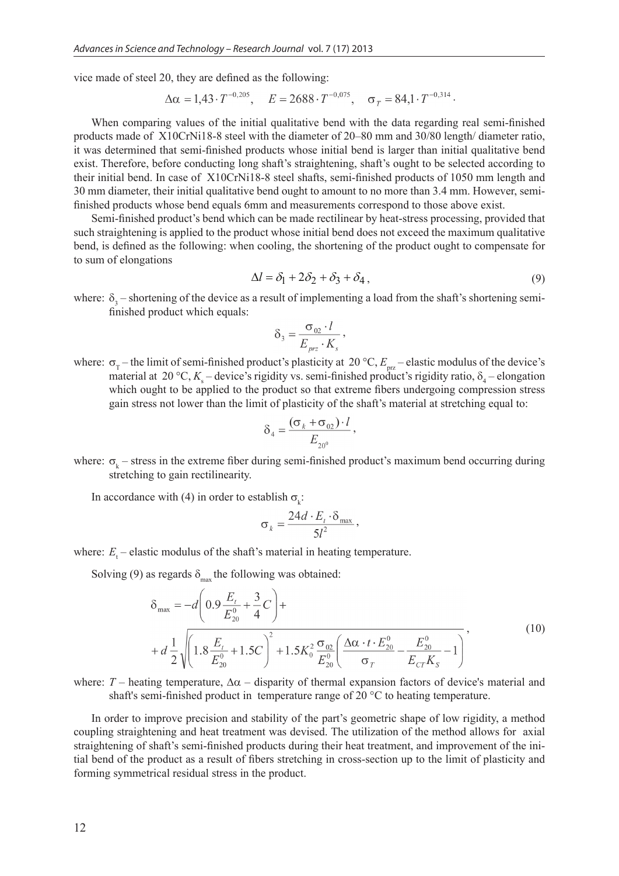vice made of steel 20, they are defined as the following:

$$
\Delta \alpha = 1,43 \cdot T^{-0.205}, \quad E = 2688 \cdot T^{-0.075}, \quad \sigma_T = 84,1 \cdot T^{-0.314}.
$$

When comparing values of the initial qualitative bend with the data regarding real semi-finished products made of X10CrNi18-8 steel with the diameter of 20–80 mm and 30/80 length/ diameter ratio, it was determined that semi-finished products whose initial bend is larger than initial qualitative bend exist. Therefore, before conducting long shaft's straightening, shaft's ought to be selected according to their initial bend. In case of X10CrNi18-8 steel shafts, semi-finished products of 1050 mm length and 30 mm diameter, their initial qualitative bend ought to amount to no more than 3.4 mm. However, semifinished products whose bend equals 6mm and measurements correspond to those above exist.

Semi-finished product's bend which can be made rectilinear by heat-stress processing, provided that such straightening is applied to the product whose initial bend does not exceed the maximum qualitative bend, is defined as the following: when cooling, the shortening of the product ought to compensate for to sum of elongations

$$
\Delta l = \delta_1 + 2\delta_2 + \delta_3 + \delta_4, \qquad (9)
$$

where:  $\delta_3$  – shortening of the device as a result of implementing a load from the shaft's shortening semifinished product which equals:

$$
\delta_3 = \frac{\sigma_{02} \cdot l}{E_{\text{prz}} \cdot K_s},
$$

where:  $\sigma_{\rm T}$  – the limit of semi-finished product's plasticity at 20 °C,  $E_{\rm piz}$  – elastic modulus of the device's material at 20 °C,  $K_s$  – device's rigidity vs. semi-finished product's rigidity ratio,  $\delta_4$  – elongation which ought to be applied to the product so that extreme fibers undergoing compression stress gain stress not lower than the limit of plasticity of the shaft's material at stretching equal to:

$$
\delta_4 = \frac{(\sigma_k + \sigma_{02}) \cdot l}{E_{20^0}},
$$

where:  $\sigma_k$  – stress in the extreme fiber during semi-finished product's maximum bend occurring during stretching to gain rectilinearity.

In accordance with (4) in order to establish  $\sigma_k$ :

$$
\sigma_k = \frac{24d \cdot E_t \cdot \delta_{\max}}{5l^2},
$$

where:  $E_t$  – elastic modulus of the shaft's material in heating temperature.

Solving (9) as regards  $\delta_{\text{max}}$  the following was obtained:

$$
\delta_{\max} = -d \left( 0.9 \frac{E_t}{E_{20}^0} + \frac{3}{4} C \right) +
$$
  
+  $d \frac{1}{2} \sqrt{\left( 1.8 \frac{E_t}{E_{20}^0} + 1.5 C \right)^2 + 1.5 K_0^2 \frac{\sigma_{02}}{E_{20}^0} \left( \frac{\Delta \alpha \cdot t \cdot E_{20}^0}{\sigma_T} - \frac{E_{20}^0}{E_{CT} K_S} - 1 \right)}$  (10)

where:  $T$  – heating temperature,  $\Delta \alpha$  – disparity of thermal expansion factors of device's material and shaft's semi-finished product in temperature range of 20 °C to heating temperature.

In order to improve precision and stability of the part's geometric shape of low rigidity, a method coupling straightening and heat treatment was devised. The utilization of the method allows for axial straightening of shaft's semi-finished products during their heat treatment, and improvement of the initial bend of the product as a result of fibers stretching in cross-section up to the limit of plasticity and forming symmetrical residual stress in the product.